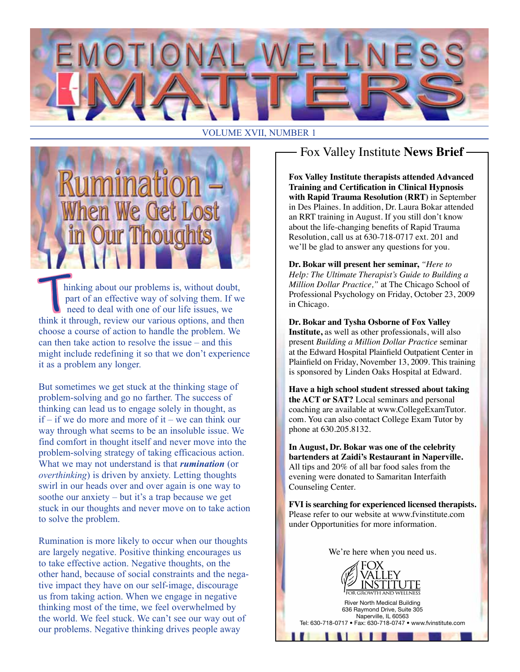

#### VOLUME XVII, NUMBER 1



hinking about our problems is, without doubt, part of an effective way of solving them. If we need to deal with one of our life issues, we think it through, review our various options, and then choose a course of action to handle the problem. We can then take action to resolve the issue – and this might include redefining it so that we don't experience it as a problem any longer.

But sometimes we get stuck at the thinking stage of problem-solving and go no farther. The success of thinking can lead us to engage solely in thought, as if – if we do more and more of it – we can think our way through what seems to be an insoluble issue. We find comfort in thought itself and never move into the problem-solving strategy of taking efficacious action. What we may not understand is that *rumination* (or *overthinking*) is driven by anxiety. Letting thoughts swirl in our heads over and over again is one way to soothe our anxiety – but it's a trap because we get stuck in our thoughts and never move on to take action to solve the problem.

Rumination is more likely to occur when our thoughts are largely negative. Positive thinking encourages us to take effective action. Negative thoughts, on the other hand, because of social constraints and the negative impact they have on our self-image, discourage us from taking action. When we engage in negative thinking most of the time, we feel overwhelmed by the world. We feel stuck. We can't see our way out of our problems. Negative thinking drives people away

#### Fox Valley Institute **News Brief**

**Fox Valley Institute therapists attended Advanced Training and Certification in Clinical Hypnosis with Rapid Trauma Resolution (RRT)** in September in Des Plaines. In addition, Dr. Laura Bokar attended an RRT training in August. If you still don't know about the life-changing benefits of Rapid Trauma Resolution, call us at 630-718-0717 ext. 201 and we'll be glad to answer any questions for you.

**Dr. Bokar will present her seminar,** *"Here to Help: The Ultimate Therapist's Guide to Building a Million Dollar Practice,"* at The Chicago School of Professional Psychology on Friday, October 23, 2009 in Chicago.

**Dr. Bokar and Tysha Osborne of Fox Valley Institute,** as well as other professionals, will also present *Building a Million Dollar Practice* seminar at the Edward Hospital Plainfield Outpatient Center in Plainfield on Friday, November 13, 2009. This training is sponsored by Linden Oaks Hospital at Edward.

**Have a high school student stressed about taking the ACT or SAT?** Local seminars and personal coaching are available at www.CollegeExamTutor. com. You can also contact College Exam Tutor by phone at 630.205.8132.

**In August, Dr. Bokar was one of the celebrity bartenders at Zaidi's Restaurant in Naperville.**  All tips and 20% of all bar food sales from the evening were donated to Samaritan Interfaith Counseling Center.

**FVI is searching for experienced licensed therapists.** Please refer to our website at www.fvinstitute.com under Opportunities for more information.

We're here when you need us.



River North Medical Building 636 Raymond Drive, Suite 305 Naperville, IL 60563 Tel: 630-718-0717 • Fax: 630-718-0747 • www.fvinstitute.com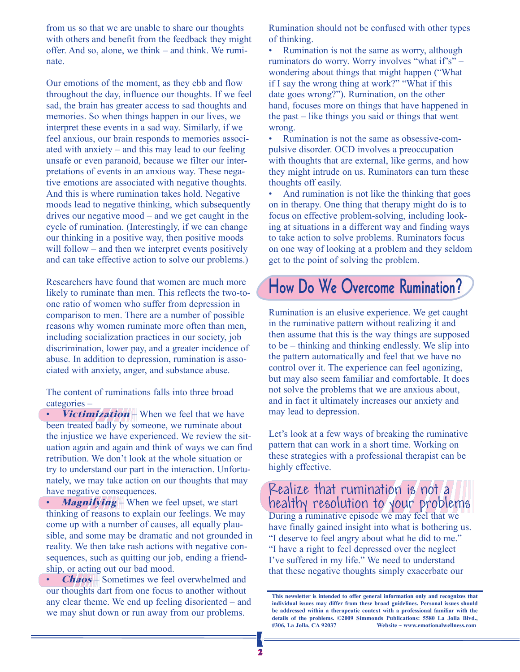from us so that we are unable to share our thoughts with others and benefit from the feedback they might offer. And so, alone, we think – and think. We ruminate.

Our emotions of the moment, as they ebb and flow throughout the day, influence our thoughts. If we feel sad, the brain has greater access to sad thoughts and memories. So when things happen in our lives, we interpret these events in a sad way. Similarly, if we feel anxious, our brain responds to memories associated with anxiety – and this may lead to our feeling unsafe or even paranoid, because we filter our interpretations of events in an anxious way. These negative emotions are associated with negative thoughts. And this is where rumination takes hold. Negative moods lead to negative thinking, which subsequently drives our negative mood – and we get caught in the cycle of rumination. (Interestingly, if we can change our thinking in a positive way, then positive moods will follow – and then we interpret events positively and can take effective action to solve our problems.)

Researchers have found that women are much more likely to ruminate than men. This reflects the two-toone ratio of women who suffer from depression in comparison to men. There are a number of possible reasons why women ruminate more often than men, including socialization practices in our society, job discrimination, lower pay, and a greater incidence of abuse. In addition to depression, rumination is associated with anxiety, anger, and substance abuse.

The content of ruminations falls into three broad categories –

• Victimization – When we feel that we have been treated badly by someone, we ruminate about the injustice we have experienced. We review the situation again and again and think of ways we can find retribution. We don't look at the whole situation or try to understand our part in the interaction. Unfortunately, we may take action on our thoughts that may have negative consequences.

• *Magnifying* – When we feel upset, we start thinking of reasons to explain our feelings. We may come up with a number of causes, all equally plausible, and some may be dramatic and not grounded in reality. We then take rash actions with negative consequences, such as quitting our job, ending a friendship, or acting out our bad mood.

• **Chaos** – Sometimes we feel overwhelmed and our thoughts dart from one focus to another without any clear theme. We end up feeling disoriented – and we may shut down or run away from our problems.

Rumination should not be confused with other types of thinking.

• Rumination is not the same as worry, although ruminators do worry. Worry involves "what if's" – wondering about things that might happen ("What if I say the wrong thing at work?" "What if this date goes wrong?"). Rumination, on the other hand, focuses more on things that have happened in the past – like things you said or things that went wrong.

Rumination is not the same as obsessive-compulsive disorder. OCD involves a preoccupation with thoughts that are external, like germs, and how they might intrude on us. Ruminators can turn these thoughts off easily.

• And rumination is not like the thinking that goes on in therapy. One thing that therapy might do is to focus on effective problem-solving, including looking at situations in a different way and finding ways to take action to solve problems. Ruminators focus on one way of looking at a problem and they seldom get to the point of solving the problem.

### **How Do We Overcome Rumination?**

Rumination is an elusive experience. We get caught in the ruminative pattern without realizing it and then assume that this is the way things are supposed to be – thinking and thinking endlessly. We slip into the pattern automatically and feel that we have no control over it. The experience can feel agonizing, but may also seem familiar and comfortable. It does not solve the problems that we are anxious about, and in fact it ultimately increases our anxiety and may lead to depression.

Let's look at a few ways of breaking the ruminative pattern that can work in a short time. Working on these strategies with a professional therapist can be highly effective.

Realize that rumination is not a healthy resolution to your problems During a ruminative episode we may feel that we have finally gained insight into what is bothering us. "I deserve to feel angry about what he did to me." "I have a right to feel depressed over the neglect I've suffered in my life." We need to understand that these negative thoughts simply exacerbate our

**This newsletter is intended to offer general information only and recognizes that individual issues may differ from these broad guidelines. Personal issues should be addressed within a therapeutic context with a professional familiar with the details of the problems. ©2009 Simmonds Publications: 5580 La Jolla Blvd., #306, La Jolla, CA 92037 Website ~ www.emotionalwellness.com**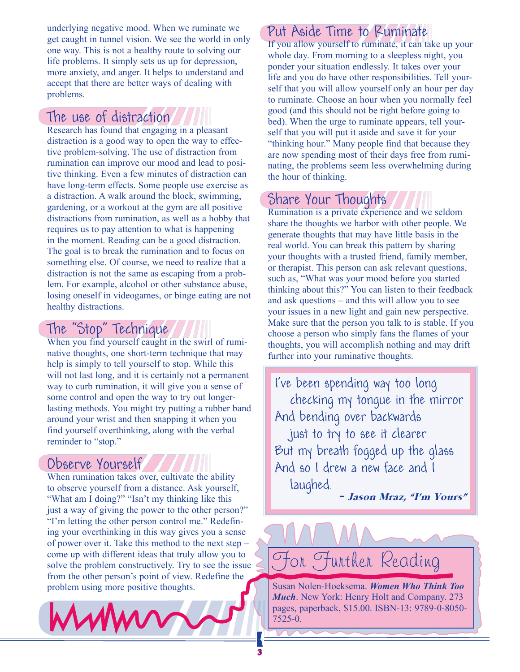underlying negative mood. When we ruminate we get caught in tunnel vision. We see the world in only one way. This is not a healthy route to solving our life problems. It simply sets us up for depression, more anxiety, and anger. It helps to understand and accept that there are better ways of dealing with problems.

#### The use of distraction

Research has found that engaging in a pleasant distraction is a good way to open the way to effective problem-solving. The use of distraction from rumination can improve our mood and lead to positive thinking. Even a few minutes of distraction can have long-term effects. Some people use exercise as a distraction. A walk around the block, swimming, gardening, or a workout at the gym are all positive distractions from rumination, as well as a hobby that requires us to pay attention to what is happening in the moment. Reading can be a good distraction. The goal is to break the rumination and to focus on something else. Of course, we need to realize that a distraction is not the same as escaping from a problem. For example, alcohol or other substance abuse, losing oneself in videogames, or binge eating are not healthy distractions.

#### The "Stop" Technique

When you find yourself caught in the swirl of ruminative thoughts, one short-term technique that may help is simply to tell yourself to stop. While this will not last long, and it is certainly not a permanent way to curb rumination, it will give you a sense of some control and open the way to try out longerlasting methods. You might try putting a rubber band around your wrist and then snapping it when you find yourself overthinking, along with the verbal reminder to "stop."

#### Observe Yourself

When rumination takes over, cultivate the ability to observe yourself from a distance. Ask yourself, "What am I doing?" "Isn't my thinking like this just a way of giving the power to the other person?" "I'm letting the other person control me." Redefining your overthinking in this way gives you a sense of power over it. Take this method to the next step – come up with different ideas that truly allow you to solve the problem constructively. Try to see the issue from the other person's point of view. Redefine the problem using more positive thoughts.



#### Put Aside Time to Ruminate

If you allow yourself to ruminate, it can take up your whole day. From morning to a sleepless night, you ponder your situation endlessly. It takes over your life and you do have other responsibilities. Tell yourself that you will allow yourself only an hour per day to ruminate. Choose an hour when you normally feel good (and this should not be right before going to bed). When the urge to ruminate appears, tell yourself that you will put it aside and save it for your "thinking hour." Many people find that because they are now spending most of their days free from ruminating, the problems seem less overwhelming during the hour of thinking.

#### Share Your Thoughts

Rumination is a private experience and we seldom share the thoughts we harbor with other people. We generate thoughts that may have little basis in the real world. You can break this pattern by sharing your thoughts with a trusted friend, family member, or therapist. This person can ask relevant questions, such as, "What was your mood before you started thinking about this?" You can listen to their feedback and ask questions – and this will allow you to see your issues in a new light and gain new perspective. Make sure that the person you talk to is stable. If you choose a person who simply fans the flames of your thoughts, you will accomplish nothing and may drift further into your ruminative thoughts.

I've been spending way too long checking my tongue in the mirror And bending over backwards just to try to see it clearer But my breath fogged up the glass And so I drew a new face and I laughed.

– Jason Mraz, "I'm Yours"

For Further Reading Susan Nolen-Hoeksema. *Women Who Think Too Much*. New York: Henry Holt and Company. 273 pages, paperback, \$15.00. ISBN-13: 9789-0-8050-

7525-0.